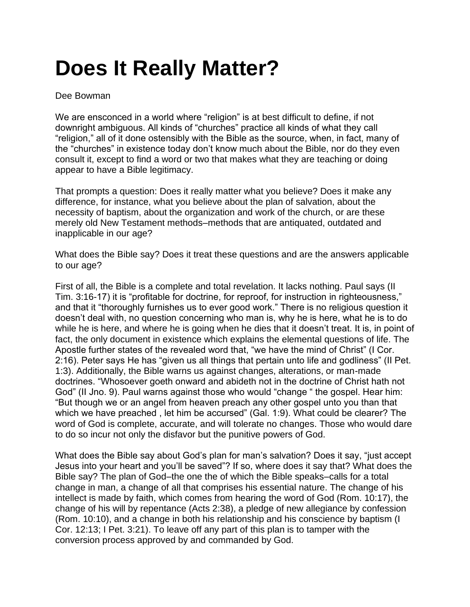## **Does It Really Matter?**

## Dee Bowman

We are ensconced in a world where "religion" is at best difficult to define, if not downright ambiguous. All kinds of "churches" practice all kinds of what they call "religion," all of it done ostensibly with the Bible as the source, when, in fact, many of the "churches" in existence today don't know much about the Bible, nor do they even consult it, except to find a word or two that makes what they are teaching or doing appear to have a Bible legitimacy.

That prompts a question: Does it really matter what you believe? Does it make any difference, for instance, what you believe about the plan of salvation, about the necessity of baptism, about the organization and work of the church, or are these merely old New Testament methods–methods that are antiquated, outdated and inapplicable in our age?

What does the Bible say? Does it treat these questions and are the answers applicable to our age?

First of all, the Bible is a complete and total revelation. It lacks nothing. Paul says (II Tim. 3:16-17) it is "profitable for doctrine, for reproof, for instruction in righteousness," and that it "thoroughly furnishes us to ever good work." There is no religious question it doesn't deal with, no question concerning who man is, why he is here, what he is to do while he is here, and where he is going when he dies that it doesn't treat. It is, in point of fact, the only document in existence which explains the elemental questions of life. The Apostle further states of the revealed word that, "we have the mind of Christ" (I Cor. 2:16). Peter says He has "given us all things that pertain unto life and godliness" (II Pet. 1:3). Additionally, the Bible warns us against changes, alterations, or man-made doctrines. "Whosoever goeth onward and abideth not in the doctrine of Christ hath not God" (II Jno. 9). Paul warns against those who would "change " the gospel. Hear him: "But though we or an angel from heaven preach any other gospel unto you than that which we have preached , let him be accursed" (Gal. 1:9). What could be clearer? The word of God is complete, accurate, and will tolerate no changes. Those who would dare to do so incur not only the disfavor but the punitive powers of God.

What does the Bible say about God's plan for man's salvation? Does it say, "just accept Jesus into your heart and you'll be saved"? If so, where does it say that? What does the Bible say? The plan of God–the one the of which the Bible speaks–calls for a total change in man, a change of all that comprises his essential nature. The change of his intellect is made by faith, which comes from hearing the word of God (Rom. 10:17), the change of his will by repentance (Acts 2:38), a pledge of new allegiance by confession (Rom. 10:10), and a change in both his relationship and his conscience by baptism (I Cor. 12:13; I Pet. 3:21). To leave off any part of this plan is to tamper with the conversion process approved by and commanded by God.